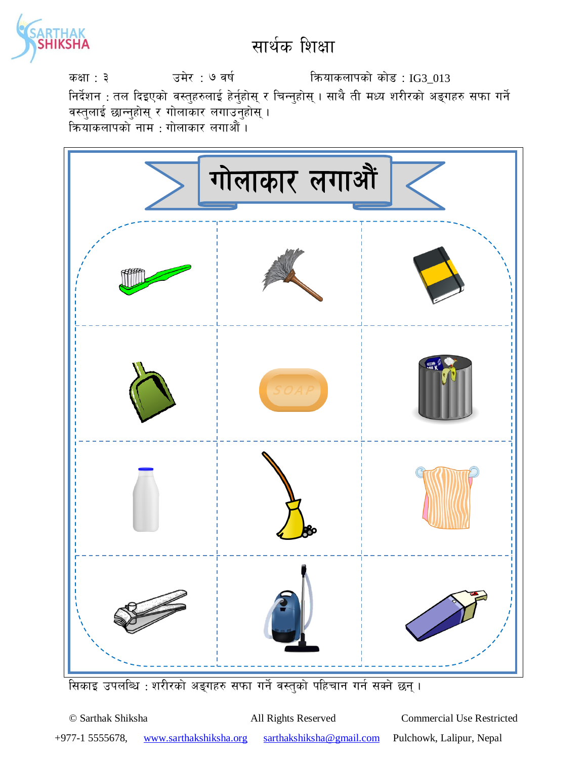

sIff : # pd]/ : & jif{ lqmofsnfksf] sf]8 : IG3\_013 निर्देशन : तल दिइएको वस्तुहरुलाई हेर्नुहोस् र चिन्नुहोस् । साथै ती मध्य शरीरको अङ्गहरु सफा गर्ने वस्तुलाई छान्नुहोस् र गोलाकार लगाउनुहोस् । कियाकलापको नाम : गोलाकार लगाऔँ ।



सिकाइ उपलब्धि : शरीरको अङ्गहरु सफा गर्ने वस्तुको पहिचान गर्न सक्ने छन् ।

© Sarthak Shiksha All Rights Reserved Commercial Use Restricted +977-1 5555678, www.sarthakshiksha.org sarthakshiksha@gmail.com Pulchowk, Lalipur, Nepal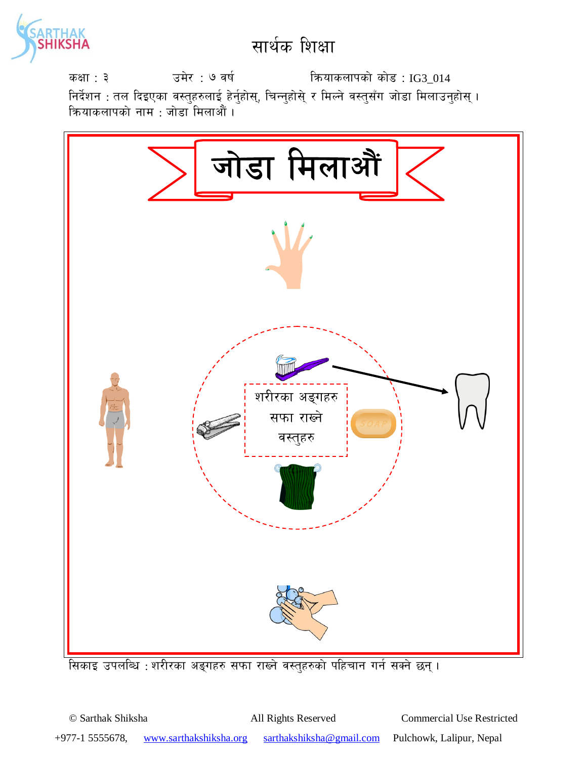

sIff : # pd]/ : & jif{ lqmofsnfksf] sf]8 : IG3\_014 निर्देशन : तल दिइएका वस्तुहरुलाई हेर्नुहोस्, चिन्नुहोस्े र मिल्ने वस्तुसँग जोडा मिलाउनुहोस् । क्रियाकलापको नाम : जोडा मिलाऔं <mark>।</mark>



सिकाइ उपलब्धि : शरीरका अङ्गहरु सफा राख्ने वस्तुहरुको पहिचान गर्न सक्ने छन्।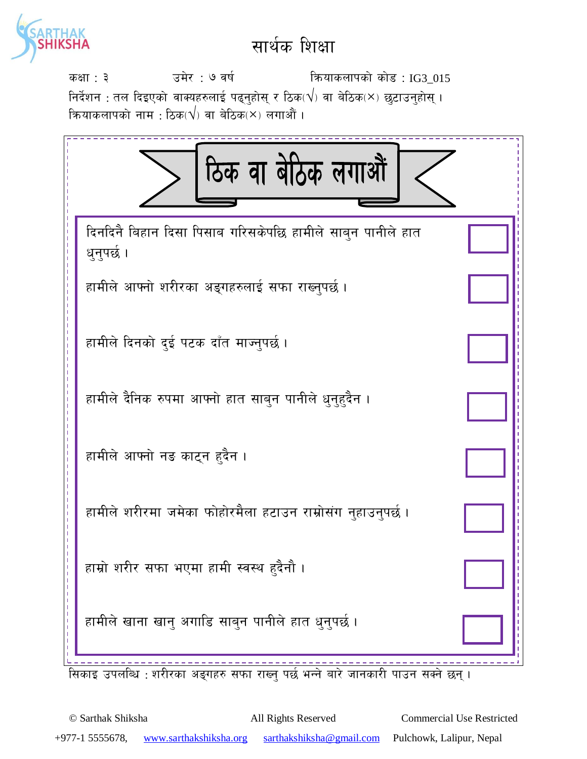

sIff : # pd]/ : & jif{ lqmofsnfksf] sf]8 : IG3\_015 निर्देशन : तल दिइएको वाक्यहरुलाई पढ्नुहोस् र ठिक $(\sqrt{})$  वा बेठिक $(\times )$  छुटाउनुहोस् । कियाकलापको नाम $\,$  : ठिक $\,$ √ $\,$ ) वा बेठिक $\times$ ) लगाऔं ।



सिकाइ उपलब्धि : शरीरका अङ्गहरु सफा राख्न पर्छ भन्ने बारे जानकारी पाउन सक्ने छन् ।